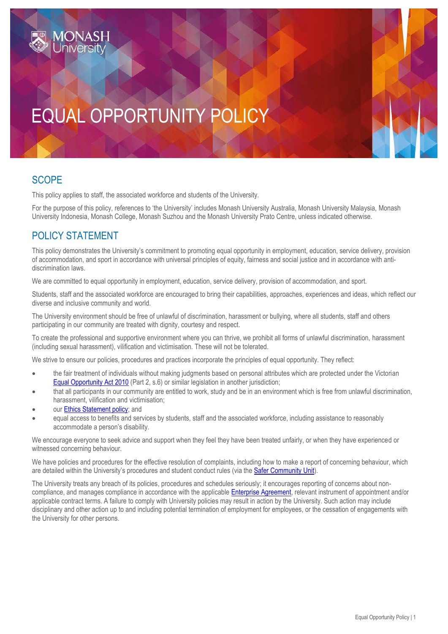# EQUAL OPPORTUNITY POLICY

#### **SCOPE**

This policy applies to staff, the associated workforce and students of the University.

For the purpose of this policy, references to 'the University' includes Monash University Australia, Monash University Malaysia, Monash University Indonesia, Monash College, Monash Suzhou and the Monash University Prato Centre, unless indicated otherwise.

#### POLICY STATEMENT

This policy demonstrates the University's commitment to promoting equal opportunity in employment, education, service delivery, provision of accommodation, and sport in accordance with universal principles of equity, fairness and social justice and in accordance with antidiscrimination laws.

We are committed to equal opportunity in employment, education, service delivery, provision of accommodation, and sport.

Students, staff and the associated workforce are encouraged to bring their capabilities, approaches, experiences and ideas, which reflect our diverse and inclusive community and world.

The University environment should be free of unlawful of discrimination, harassment or bullying, where all students, staff and others participating in our community are treated with dignity, courtesy and respect.

To create the professional and supportive environment where you can thrive, we prohibit all forms of unlawful discrimination, harassment (including sexual harassment), vilification and victimisation. These will not be tolerated.

We strive to ensure our policies, procedures and practices incorporate the principles of equal opportunity. They reflect:

- the fair treatment of individuals without making judgments based on personal attributes which are protected under the Victorian [Equal Opportunity Act 2010](https://www.legislation.vic.gov.au/in-force/acts/equal-opportunity-act-2010/020) (Part 2, s.6) or similar legislation in another jurisdiction;
- that all participants in our community are entitled to work, study and be in an environment which is free from unlawful discrimination, harassment, vilification and victimisation;
- our [Ethics Statement](https://publicpolicydms.monash.edu/Monash/documents/1935683) policy; and
- equal access to benefits and services by students, staff and the associated workforce, including assistance to reasonably accommodate a person's disability.

We encourage everyone to seek advice and support when they feel they have been treated unfairly, or when they have experienced or witnessed concerning behaviour.

We have policies and procedures for the effective resolution of complaints, including how to make a report of concerning behaviour, which are detailed within the University's procedures and student conduct rules (via th[e Safer Community Unit\)](http://www.monash.edu/diversity-inclusion/equal-opportunity/discrimination-harassment-bullying).

The University treats any breach of its policies, procedures and schedules seriously; it encourages reporting of concerns about non-compliance, and manages compliance in accordance with the applicable [Enterprise Agreement,](https://www.monash.edu/current-enterprise-agreements/academic-professional-2019) relevant instrument of appointment and/or applicable contract terms. A failure to comply with University policies may result in action by the University. Such action may include disciplinary and other action up to and including potential termination of employment for employees, or the cessation of engagements with the University for other persons.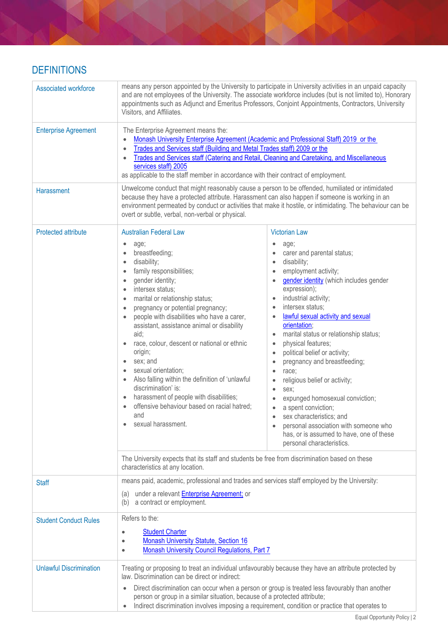### **DEFINITIONS**

| Associated workforce           | means any person appointed by the University to participate in University activities in an unpaid capacity<br>and are not employees of the University. The associate workforce includes (but is not limited to), Honorary<br>appointments such as Adjunct and Emeritus Professors, Conjoint Appointments, Contractors, University<br>Visitors, and Affiliates.                                                                                                                                                                                                                                                                    |                                                                                                                                                                                                                                                                                                                                                                                                                                                                                                                                                                                                                                                                                                             |
|--------------------------------|-----------------------------------------------------------------------------------------------------------------------------------------------------------------------------------------------------------------------------------------------------------------------------------------------------------------------------------------------------------------------------------------------------------------------------------------------------------------------------------------------------------------------------------------------------------------------------------------------------------------------------------|-------------------------------------------------------------------------------------------------------------------------------------------------------------------------------------------------------------------------------------------------------------------------------------------------------------------------------------------------------------------------------------------------------------------------------------------------------------------------------------------------------------------------------------------------------------------------------------------------------------------------------------------------------------------------------------------------------------|
| <b>Enterprise Agreement</b>    | The Enterprise Agreement means the:<br>Monash University Enterprise Agreement (Academic and Professional Staff) 2019 or the<br>Trades and Services staff (Building and Metal Trades staff) 2009 or the<br>$\bullet$<br>Trades and Services staff (Catering and Retail, Cleaning and Caretaking, and Miscellaneous<br>services staff) 2005<br>as applicable to the staff member in accordance with their contract of employment.                                                                                                                                                                                                   |                                                                                                                                                                                                                                                                                                                                                                                                                                                                                                                                                                                                                                                                                                             |
| <b>Harassment</b>              | Unwelcome conduct that might reasonably cause a person to be offended, humiliated or intimidated<br>because they have a protected attribute. Harassment can also happen if someone is working in an<br>environment permeated by conduct or activities that make it hostile, or intimidating. The behaviour can be<br>overt or subtle, verbal, non-verbal or physical.                                                                                                                                                                                                                                                             |                                                                                                                                                                                                                                                                                                                                                                                                                                                                                                                                                                                                                                                                                                             |
| <b>Protected attribute</b>     | <b>Australian Federal Law</b><br>age;<br>breastfeeding;<br>disability;<br>family responsibilities;<br>gender identity;<br>intersex status;<br>marital or relationship status;<br>pregnancy or potential pregnancy;<br>people with disabilities who have a carer,<br>assistant, assistance animal or disability<br>aid;<br>race, colour, descent or national or ethnic<br>origin;<br>sex; and<br>$\bullet$<br>sexual orientation;<br>Also falling within the definition of 'unlawful<br>discrimination' is:<br>harassment of people with disabilities;<br>offensive behaviour based on racial hatred;<br>and<br>sexual harassment. | <b>Victorian Law</b><br>age;<br>carer and parental status;<br>disability;<br>$\bullet$<br>employment activity;<br>gender identity (which includes gender<br>expression);<br>industrial activity;<br>intersex status;<br>lawful sexual activity and sexual<br>orientation;<br>marital status or relationship status;<br>physical features;<br>political belief or activity;<br>pregnancy and breastfeeding;<br>race:<br>$\bullet$<br>religious belief or activity;<br>sex:<br>$\bullet$<br>expunged homosexual conviction;<br>a spent conviction;<br>sex characteristics; and<br>$\bullet$<br>personal association with someone who<br>has, or is assumed to have, one of these<br>personal characteristics. |
|                                | The University expects that its staff and students be free from discrimination based on these<br>characteristics at any location.                                                                                                                                                                                                                                                                                                                                                                                                                                                                                                 |                                                                                                                                                                                                                                                                                                                                                                                                                                                                                                                                                                                                                                                                                                             |
| <b>Staff</b>                   | means paid, academic, professional and trades and services staff employed by the University:<br>under a relevant Enterprise Agreement; or<br>(a)<br>(b) a contract or employment.                                                                                                                                                                                                                                                                                                                                                                                                                                                 |                                                                                                                                                                                                                                                                                                                                                                                                                                                                                                                                                                                                                                                                                                             |
| <b>Student Conduct Rules</b>   | Refers to the:<br><b>Student Charter</b><br>$\bullet$<br><b>Monash University Statute, Section 16</b><br>٠<br>Monash University Council Regulations, Part 7<br>$\bullet$                                                                                                                                                                                                                                                                                                                                                                                                                                                          |                                                                                                                                                                                                                                                                                                                                                                                                                                                                                                                                                                                                                                                                                                             |
| <b>Unlawful Discrimination</b> | Treating or proposing to treat an individual unfavourably because they have an attribute protected by<br>law. Discrimination can be direct or indirect:<br>Direct discrimination can occur when a person or group is treated less favourably than another<br>person or group in a similar situation, because of a protected attribute;<br>Indirect discrimination involves imposing a requirement, condition or practice that operates to<br>$\bullet$                                                                                                                                                                            |                                                                                                                                                                                                                                                                                                                                                                                                                                                                                                                                                                                                                                                                                                             |